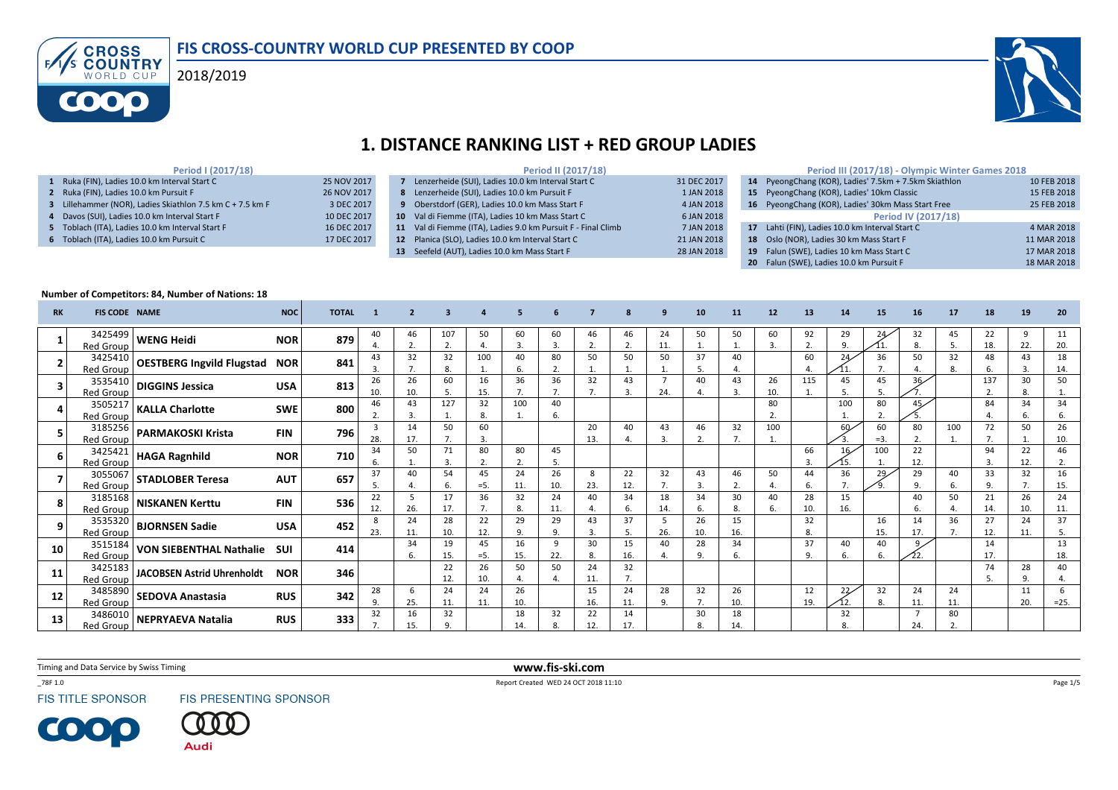





### 1. DISTANCE RANKING LIST + RED GROUP LADIES

### Period I (2017/18)

 Ruka (FIN), Ladies 10.0 km Interval Start C 25 NOV 2017 Ruka (FIN), Ladies 10.0 km Pursuit F 26 NOV 2017 Lillehammer (NOR), Ladies Skiathlon 7.5 km C + 7.5 km F  $\qquad$  3 DEC 2017 Davos (SUI), Ladies 10.0 km Interval Start F 10 DEC 2017 Toblach (ITA), Ladies 10.0 km Interval Start F 16 DEC 2017

6 Toblach (ITA), Ladies 10.0 km Pursuit C 17 DEC 2017

|   | Period II (2017/18)                                           |             |
|---|---------------------------------------------------------------|-------------|
|   | Lenzerheide (SUI), Ladies 10.0 km Interval Start C            | 31 DEC 2017 |
| 8 | Lenzerheide (SUI), Ladies 10.0 km Pursuit F                   | 1 JAN 2018  |
|   | 9 Oberstdorf (GER), Ladies 10.0 km Mass Start F               | 4 JAN 2018  |
|   | 10 Val di Fiemme (ITA), Ladies 10 km Mass Start C             | 6 JAN 2018  |
|   | 11 Val di Fiemme (ITA), Ladies 9.0 km Pursuit F - Final Climb | 7 JAN 2018  |
|   | 12 Planica (SLO), Ladies 10.0 km Interval Start C             | 21 JAN 2018 |
|   | 13 Seefeld (AUT), Ladies 10.0 km Mass Start F                 | 28 JAN 2018 |
|   |                                                               |             |

#### Period III (2017/18) - Olympic Winter Games 201814 PyeongChang (KOR), Ladies' 7.5km + 7.5km Skiathlon 10 FEB 2018 15 PyeongChang (KOR), Ladies' 10km Classic 15 FEB 2018 **16** PyeongChang (KOR), Ladies' 30km Mass Start Free 25 PEB 2018

- Period IV (2017/18)**17** Lahti (FIN), Ladies 10.0 km Interval Start C  $\frac{4 \text{ MAR } 2018}{4 \text{ MAR } 2018}$ **18** Oslo (NOR), Ladies 30 km Mass Start F  $\qquad \qquad$  11 MAR 2018 19 Falun (SWE), Ladies 10 km Mass Start C 17 MAR 2018
- **20** Falun (SWE), Ladies 10.0 km Pursuit F 18 MAR 2018

#### Number of Competitors: 84, Number of Nations: 18

| <b>RK</b> | <b>FIS CODE NAME</b>        |                                      | <b>NOC</b> | <b>TOTAL</b> |                       |           |                           |              |           |           |                    |           |           |            |           |                    | 13                   |                 | 15          | 16                    |           | 18        | 19             | 20          |
|-----------|-----------------------------|--------------------------------------|------------|--------------|-----------------------|-----------|---------------------------|--------------|-----------|-----------|--------------------|-----------|-----------|------------|-----------|--------------------|----------------------|-----------------|-------------|-----------------------|-----------|-----------|----------------|-------------|
|           | 3425499<br><b>Red Group</b> | WENG Heidi                           | <b>NOR</b> | 879          | 40                    | 46        | 107<br>$\mathbf{r}$<br>z. | 50           | 60<br>3.  | 60<br>3.  | 46                 | 46<br>2.  | 24<br>11. | 50         | 50        | 60                 | 92<br>$\mathbf{r}$   | 29              | 24          | 32<br>8.              | 45        | 22<br>18. | 22.            | 11<br>20.   |
|           | 3425410<br><b>Red Group</b> | <b>OESTBERG Ingvild Flugstad NOR</b> |            | 841          | 43                    | 32        | 32<br>8.                  | 100          | 40<br>6.  | 80<br>2.  | 50                 | 50        | 50        | 37<br>- 5. | 40        |                    | 60<br>$\overline{a}$ | 24              | 36          | 50                    | 32<br>8   | 48<br>6.  | 43             | 18<br>14.   |
|           | 3535410<br><b>Red Group</b> | <b>DIGGINS Jessica</b>               | <b>USA</b> | 813          | 26<br>10.             | 26<br>10. | 60<br>.5                  | 16<br>15.    | 36        | 36        | 32                 | 43<br>3.  | 24.       | 40<br>4    | 43<br>3.  | 26<br>10.          | 115                  | 45              | 45<br>5.    | 36                    |           | 137<br>2. | 30             | 50          |
|           | <b>Red Group</b>            | $\overline{3505217}$ KALLA Charlotte | <b>SWE</b> | 800          | 46                    | 43<br>3   | 127                       | 32           | 100       | 40<br>6.  |                    |           |           |            |           | 80<br>$\mathbf{r}$ |                      | 100             | 80          | 45,                   |           | 84        | 34             | 34<br>6.    |
|           | 3185256<br><b>Red Group</b> | <b>PARMAKOSKI Krista</b>             | <b>FIN</b> | 796          | $\overline{3}$<br>28. | 14<br>17. | 50<br>7.                  | 60<br>3.     |           |           | 20<br>13.          | 40<br>4.  | 43<br>3.  | 46<br>2.   | 32        | 100                |                      | 60 <sub>2</sub> | 60<br>$=3.$ | 80<br>2.              | 100       | 72<br>7.  | 50             | 26<br>10.   |
| 6         | 3425421<br><b>Red Group</b> | <b>HAGA Ragnhild</b>                 | <b>NOR</b> | 710          | 34                    | 50        | 71<br>3.                  | 80           | 80<br>2.  | 45<br>.5. |                    |           |           |            |           |                    | 66<br>3.             | 16              | 100         | 22<br>12.             |           | 94<br>3.  | 22<br>12.      | 46<br>2.    |
|           | 3055067<br><b>Red Group</b> | STADLOBER Teresa                     | <b>AUT</b> | 657          | 37                    | 40        | 54<br>6.                  | 45<br>$= 5.$ | 24<br>11  | 26<br>10. | 8<br>23.           | 22<br>12. | 32        | 43<br>- 3. | 46<br>2.  | 50                 | 44<br>6.             | 36              | 29          | 29<br>9.              | 40        | 33<br>9.  | 32             | 16<br>15.   |
|           | <b>Red Group</b>            | 3185168 NISKANEN Kerttu              | <b>FIN</b> | 536          | 22<br>12.             | 5<br>26.  | 17<br>17.                 | 36           | 32<br>8.  | 24<br>11. | 40                 | 34<br>6.  | 18<br>14. | 34<br>6.   | 30<br>8.  | 40<br>6.           | 28<br>10.            | 15<br>16.       |             | 40<br>6.              | 50        | 21<br>14. | 26<br>10.      | 24<br>11.   |
| 9         | 3535320<br><b>Red Group</b> | <b>BJORNSEN Sadie</b>                | <b>USA</b> | 452          | 8<br>23.              | 24<br>11. | 28<br>10.                 | 22<br>12.    | 29<br>9.  | 29<br>9.  | 43<br>$\mathbf{a}$ | 37<br>5.  | 26.       | 26<br>10.  | 15<br>16. |                    | 32<br>8.             |                 | 16<br>15.   | 14<br>17.             | 36        | 27<br>12. | 24<br>11.      | 37<br>5.    |
| 10        | 3515184<br><b>Red Group</b> | <b>VON SIEBENTHAL Nathalie</b>       | SUI        | 414          |                       | 34<br>6.  | 19<br>15.                 | 45<br>$= 5.$ | 16<br>15. | 9<br>22.  | 30<br>8            | 15<br>16. | 40        | 28<br>9.   | 34<br>6.  |                    | 37<br>9.             | 40              | 40<br>6.    | 22.                   |           | 14<br>17. |                | 13<br>18.   |
| 11        | 3425183<br><b>Red Group</b> | <b>JACOBSEN Astrid Uhrenholdt</b>    | <b>NOR</b> | 346          |                       |           | 22<br>12.                 | 26<br>10.    | 50        | 50        | 24<br>11           | 32<br>7.  |           |            |           |                    |                      |                 |             |                       |           | 74<br>5   | 28<br>$\Omega$ | 40          |
| 12        | 3485890<br><b>Red Group</b> | <b>SEDOVA Anastasia</b>              | <b>RUS</b> | 342          | 28                    | 6<br>25.  | 24<br>11.                 | 24<br>11.    | 26<br>10. |           | 15<br>16.          | 24<br>11. | 28<br>9.  | 32         | 26<br>10. |                    | 12<br>19.            | 22              | 32<br>8.    | 24<br>11.             | 24<br>11. |           | 11<br>20.      | 6<br>$=25.$ |
| 13        | 3486010<br><b>Red Group</b> | <b>NEPRYAEVA Natalia</b>             | <b>RUS</b> | 333          | 32                    | 16<br>15. | 32<br>9.                  |              | 18<br>14  | 32        | 22<br>12.          | 14<br>17. |           | 30         | 18<br>14. |                    |                      | 32              |             | $\overline{7}$<br>24. | 80        |           |                |             |

Timing and Data Service by Swiss Timing

\_78F 1.0

**FIS TITLE SPONSOR** 

COO

**FIS PRESENTING SPONSOR** 



 www.fis-ski.comReport Created WED 24 OCT 2018 11:10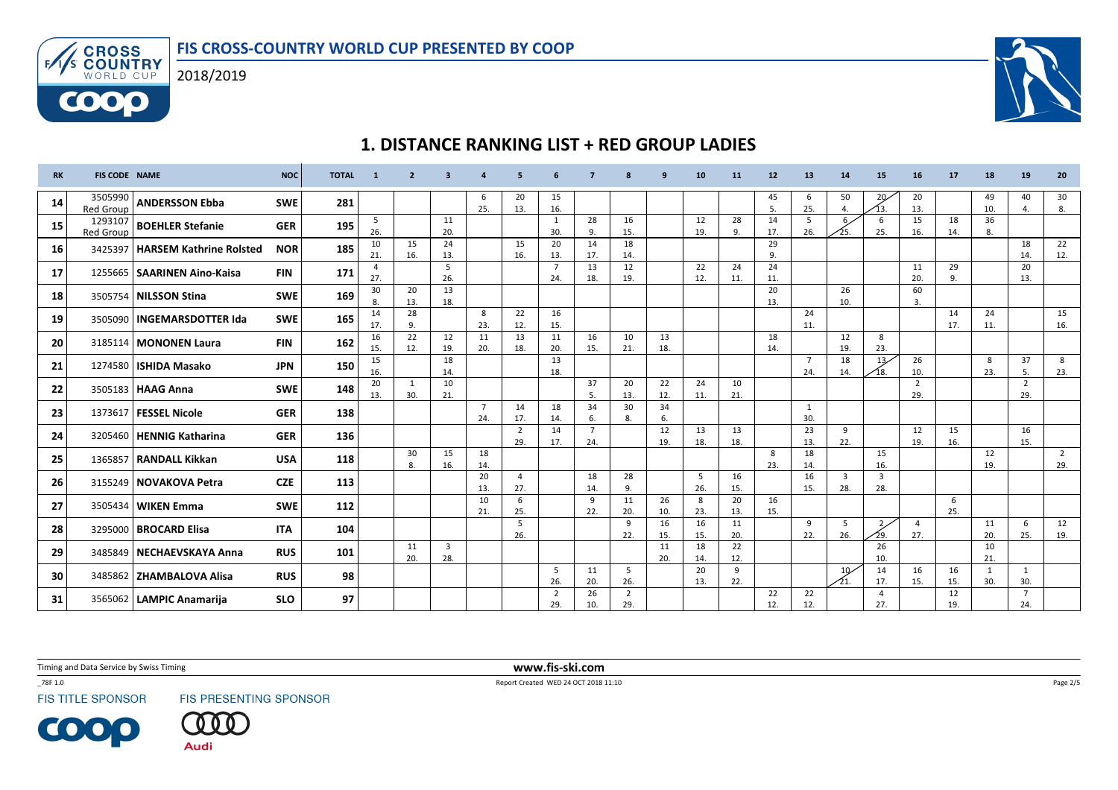





# 1. DISTANCE RANKING LIST + RED GROUP LADIES

| <b>RK</b> | <b>FIS CODE NAME</b>        |                                   | <b>NOC</b> | <b>TOTAL</b> | $\overline{\mathbf{1}}$ | $\overline{2}$ | -3                             | $\Delta$              | 5                     | 6                     | 7                     | $\mathbf{R}$          | q         | 10        | 11        | 12        | 13                    | 14                   | 15                     | 16                    | 17        | 18                  | 19                    | 20                    |
|-----------|-----------------------------|-----------------------------------|------------|--------------|-------------------------|----------------|--------------------------------|-----------------------|-----------------------|-----------------------|-----------------------|-----------------------|-----------|-----------|-----------|-----------|-----------------------|----------------------|------------------------|-----------------------|-----------|---------------------|-----------------------|-----------------------|
| 14        | 3505990<br><b>Red Group</b> | <b>ANDERSSON Ebba</b>             | <b>SWE</b> | 281          |                         |                |                                | 6<br>25.              | 20<br>13.             | 15<br>16.             |                       |                       |           |           |           | 45<br>.5  | 6<br>25.              | 50<br>$\overline{4}$ | 20<br>13.              | 20<br>13.             |           | 49<br>10.           | 40<br>4.              | 30<br>8.              |
| 15        | 1293107<br><b>Red Group</b> | <b>BOEHLER Stefanie</b>           | <b>GER</b> | 195          | 5<br>26.                |                | 11<br>20.                      |                       |                       | 1<br>30.              | 28<br>9.              | 16<br>15.             |           | 12<br>19. | 28<br>9.  | 14<br>17. | 5<br>26.              |                      | 6<br>25.               | 15<br>16.             | 18<br>14. | 36<br>8.            |                       |                       |
| 16        |                             | 3425397   HARSEM Kathrine Rolsted | <b>NOR</b> | 185          | 10<br>21.               | 15<br>16.      | 24<br>13.                      |                       | 15<br>16.             | 20<br>13.             | 14<br>17.             | 18<br>14.             |           |           |           | 29<br>9.  |                       |                      |                        |                       |           |                     | 18<br>14.             | 22<br>12.             |
| 17        |                             | 1255665   SAARINEN Aino-Kaisa     | <b>FIN</b> | 171          | 4<br>27.                |                | 5<br>26.                       |                       |                       | $\overline{7}$<br>24. | 13<br>18.             | 12<br>19.             |           | 22<br>12. | 24<br>11. | 24<br>11. |                       |                      |                        | 11<br>20.             | 29<br>9.  |                     | 20<br>13.             |                       |
| 18        |                             | 3505754   NILSSON Stina           | <b>SWE</b> | 169          | 30<br>8.                | 20<br>13.      | 13<br>18.                      |                       |                       |                       |                       |                       |           |           |           | 20<br>13. |                       | 26<br>10.            |                        | 60<br>3.              |           |                     |                       |                       |
| 19        |                             | 3505090   INGEMARSDOTTER Ida      | <b>SWE</b> | 165          | 14<br>17.               | 28<br>9.       |                                | 8<br>23.              | 22<br>12.             | 16<br>15.             |                       |                       |           |           |           |           | 24<br>11.             |                      |                        |                       | 14<br>17. | 24<br>11.           |                       | 15<br>16.             |
| 20        |                             | 3185114   MONONEN Laura           | <b>FIN</b> | 162          | 16<br>15.               | 22<br>12.      | 12<br>19.                      | 11<br>20.             | 13<br>18.             | 11<br>20.             | 16<br>15.             | 10<br>21.             | 13<br>18. |           |           | 18<br>14. |                       | 12<br>19.            | 8<br>23.               |                       |           |                     |                       |                       |
| 21        |                             | 1274580   ISHIDA Masako           | <b>JPN</b> | 150          | 15<br>16.               |                | 18<br>14.                      |                       |                       | 13<br>18.             |                       |                       |           |           |           |           | $\overline{7}$<br>24. | 18<br>14.            | 13 <sub>7</sub><br>18. | 26<br>10.             |           | 8<br>23.            | 37<br>5.              | 8<br>23.              |
| 22        |                             | 3505183   HAAG Anna               | <b>SWE</b> | 148          | 20<br>13.               | -1<br>30.      | 10<br>21.                      |                       |                       |                       | 37<br>-5.             | 20<br>13.             | 22<br>12. | 24<br>11. | 10<br>21. |           |                       |                      |                        | 2<br>29.              |           |                     | $\overline{2}$<br>29. |                       |
| 23        |                             | 1373617   FESSEL Nicole           | <b>GER</b> | 138          |                         |                |                                | $\overline{7}$<br>24. | 14<br>17.             | 18<br>14.             | 34<br>6.              | 30<br>8.              | 34<br>6.  |           |           |           | -1<br>30.             |                      |                        |                       |           |                     |                       |                       |
| 24        |                             | 3205460   HENNIG Katharina        | <b>GER</b> | 136          |                         |                |                                |                       | $\overline{2}$<br>29. | 14<br>17.             | $\overline{7}$<br>24. |                       | 12<br>19. | 13<br>18. | 13<br>18. |           | 23<br>13.             | 9<br>22.             |                        | 12<br>19.             | 15<br>16. |                     | 16<br>15.             |                       |
| 25        |                             | 1365857   RANDALL Kikkan          | <b>USA</b> | 118          |                         | 30<br>8.       | 15<br>16.                      | 18<br>14.             |                       |                       |                       |                       |           |           |           | 8<br>23.  | 18<br>14.             |                      | 15<br>16.              |                       |           | 12<br>19.           |                       | $\overline{2}$<br>29. |
| 26        |                             | 3155249 NOVAKOVA Petra            | <b>CZE</b> | 113          |                         |                |                                | 20<br>13.             | $\overline{4}$<br>27. |                       | 18<br>14.             | 28<br>9.              |           | 5<br>26.  | 16<br>15. |           | 16<br>15.             | 3<br>28.             | 3<br>28.               |                       |           |                     |                       |                       |
| 27        |                             | 3505434   WIKEN Emma              | <b>SWE</b> | 112          |                         |                |                                | 10<br>21.             | 6<br>25.              |                       | 9<br>22.              | 11<br>20.             | 26<br>10. | 8<br>23.  | 20<br>13. | 16<br>15. |                       |                      |                        |                       | 6<br>25.  |                     |                       |                       |
| 28        |                             | 3295000   BROCARD Elisa           | <b>ITA</b> | 104          |                         |                |                                |                       | 5<br>26.              |                       |                       | 9<br>22.              | 16<br>15. | 16<br>15. | 11<br>20. |           | -9<br>22.             | 5<br>26.             | $\overline{2}$<br>29.  | $\overline{4}$<br>27. |           | 11<br>20.           | 6<br>25.              | 12<br>19.             |
| 29        |                             | 3485849   NECHAEVSKAYA Anna       | <b>RUS</b> | 101          |                         | 11<br>20.      | $\overline{\mathbf{3}}$<br>28. |                       |                       |                       |                       |                       | 11<br>20. | 18<br>14. | 22<br>12. |           |                       |                      | 26<br>10.              |                       |           | 10<br>21.           |                       |                       |
| 30        |                             | 3485862   ZHAMBALOVA Alisa        | <b>RUS</b> | 98           |                         |                |                                |                       |                       | -5<br>26.             | 11<br>20.             | 5<br>26.              |           | 20<br>13. | 9<br>22.  |           |                       | 10 <sub>1</sub>      | 14<br>17.              | 16<br>15.             | 16<br>15. | $\mathbf{1}$<br>30. | 1<br>30.              |                       |
| 31        |                             | 3565062   LAMPIC Anamarija        | <b>SLO</b> | 97           |                         |                |                                |                       |                       | $\overline{2}$<br>29. | 26<br>10.             | $\overline{2}$<br>29. |           |           |           | 22<br>12. | 22<br>12.             |                      | $\overline{4}$<br>27.  |                       | 12<br>19. |                     | $\overline{7}$<br>24. |                       |

Timing and Data Service by Swiss Timing

\_78F 1.0

**FIS TITLE SPONSOR** 

**COOP** 

FIS PRESENTING SPONSOR



 www.fis-ski.comReport Created WED 24 OCT 2018 11:10

Page 2/5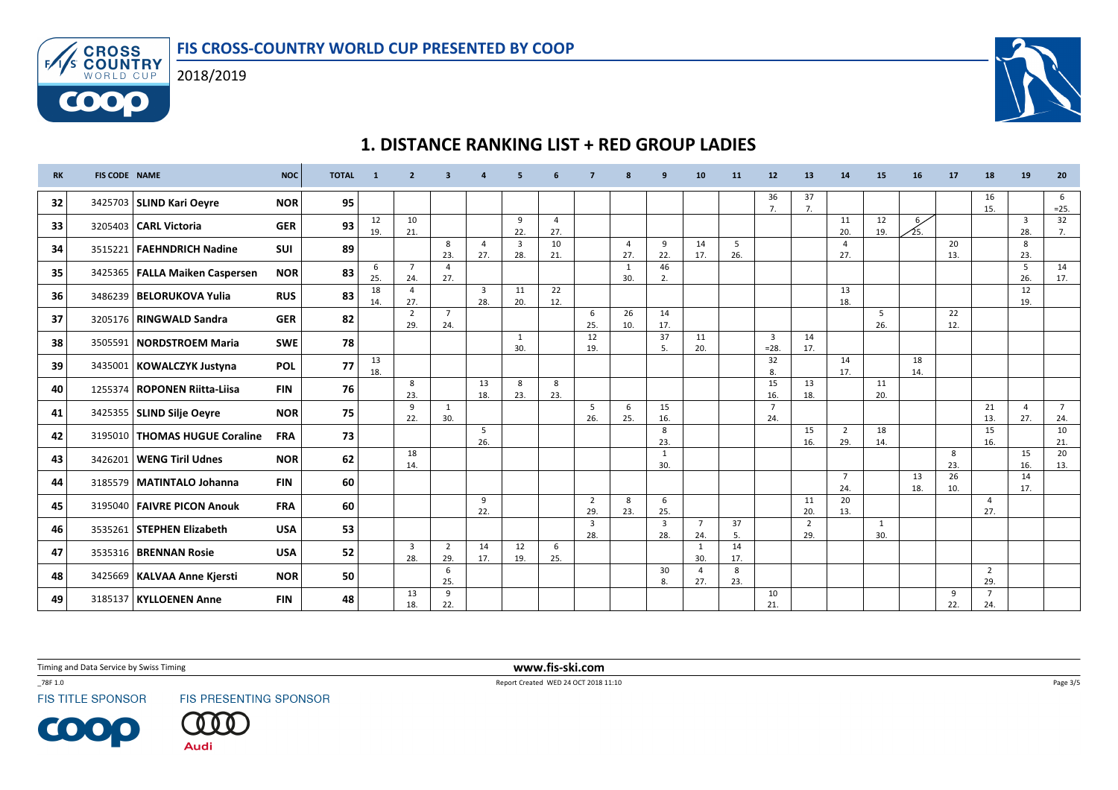



6000



## 1. DISTANCE RANKING LIST + RED GROUP LADIES

| <b>RK</b> | <b>FIS CODE NAME</b> |                                  | <b>NOC</b> | <b>TOTAL</b> |           | $\overline{\phantom{a}}$ | з                     |                       |                       |                       |                       |                       | q                              | 10                    | 11        | 12                       | 13                    | 14                    | 15        | 16                    | 17        | 18                    | 19                    | 20                    |
|-----------|----------------------|----------------------------------|------------|--------------|-----------|--------------------------|-----------------------|-----------------------|-----------------------|-----------------------|-----------------------|-----------------------|--------------------------------|-----------------------|-----------|--------------------------|-----------------------|-----------------------|-----------|-----------------------|-----------|-----------------------|-----------------------|-----------------------|
| 32        |                      | 3425703   SLIND Kari Oeyre       | <b>NOR</b> | 95           |           |                          |                       |                       |                       |                       |                       |                       |                                |                       |           | 36<br>7.                 | 37<br>7.              |                       |           |                       |           | 16<br>15.             |                       | 6<br>$=25.$           |
| 33        |                      | 3205403 CARL Victoria            | <b>GER</b> | 93           | 12<br>19. | 10<br>21.                |                       |                       | 9<br>22.              | $\overline{4}$<br>27. |                       |                       |                                |                       |           |                          |                       | 11<br>20.             | 12<br>19. | 6 <sub>2</sub><br>25. |           |                       | $\overline{3}$<br>28. | 32<br>7.              |
| 34        |                      | 3515221   FAEHNDRICH Nadine      | <b>SUI</b> | 89           |           |                          | 8<br>23.              | 4<br>27.              | $\overline{3}$<br>28. | 10<br>21.             |                       | $\overline{a}$<br>27. | 9<br>22.                       | 14<br>17.             | 5<br>26.  |                          |                       | $\Delta$<br>27.       |           |                       | 20<br>13. |                       | 8<br>23.              |                       |
| 35        |                      | 3425365   FALLA Maiken Caspersen | <b>NOR</b> | 83           | 6<br>25.  | $\overline{7}$<br>24.    | $\overline{4}$<br>27. |                       |                       |                       |                       | 1<br>30.              | 46<br>2.                       |                       |           |                          |                       |                       |           |                       |           |                       | 5<br>26.              | 14<br>17.             |
| 36        |                      | 3486239   BELORUKOVA Yulia       | <b>RUS</b> | 83           | 18<br>14. | $\overline{4}$<br>27.    |                       | $\overline{3}$<br>28. | 11<br>20.             | 22<br>12.             |                       |                       |                                |                       |           |                          |                       | 13<br>18.             |           |                       |           |                       | 12<br>19.             |                       |
| 37        |                      | 3205176   RINGWALD Sandra        | <b>GER</b> | 82           |           | $\overline{2}$<br>29.    | $\overline{7}$<br>24. |                       |                       |                       | 6<br>25.              | 26<br>10.             | 14<br>17.                      |                       |           |                          |                       |                       | 5<br>26.  |                       | 22<br>12. |                       |                       |                       |
| 38        |                      | 3505591   NORDSTROEM Maria       | <b>SWE</b> | 78           |           |                          |                       |                       | 1<br>30.              |                       | 12<br>19.             |                       | 37<br>5.                       | 11<br>20.             |           | $\overline{3}$<br>$=28.$ | 14<br>17.             |                       |           |                       |           |                       |                       |                       |
| 39        |                      | 3435001   KOWALCZYK Justyna      | <b>POL</b> | 77           | 13<br>18. |                          |                       |                       |                       |                       |                       |                       |                                |                       |           | 32<br>8.                 |                       | 14<br>17.             |           | 18<br>14.             |           |                       |                       |                       |
| 40        |                      | 1255374   ROPONEN Riitta-Liisa   | <b>FIN</b> | 76           |           | 8<br>23.                 |                       | 13<br>18.             | 8<br>23.              | 8<br>23.              |                       |                       |                                |                       |           | 15<br>16.                | 13<br>18.             |                       | 11<br>20. |                       |           |                       |                       |                       |
| 41        |                      | 3425355   SLIND Silje Oeyre      | <b>NOR</b> | 75           |           | 9<br>22.                 | 1<br>30.              |                       |                       |                       | -5<br>26.             | 6<br>25.              | 15<br>16.                      |                       |           | $\overline{7}$<br>24.    |                       |                       |           |                       |           | 21<br>13.             | $\overline{a}$<br>27. | $\overline{7}$<br>24. |
| 42        |                      | 3195010   THOMAS HUGUE Coraline  | <b>FRA</b> | 73           |           |                          |                       | 5<br>26.              |                       |                       |                       |                       | 8<br>23.                       |                       |           |                          | 15<br>16.             | $\overline{2}$<br>29. | 18<br>14. |                       |           | 15<br>16.             |                       | 10<br>21.             |
| 43        |                      | 3426201   WENG Tiril Udnes       | <b>NOR</b> | 62           |           | 18<br>14.                |                       |                       |                       |                       |                       |                       | 1<br>30.                       |                       |           |                          |                       |                       |           |                       | 8<br>23.  |                       | 15<br>16.             | 20<br>13.             |
| 44        |                      | 3185579   MATINTALO Johanna      | <b>FIN</b> | 60           |           |                          |                       |                       |                       |                       |                       |                       |                                |                       |           |                          |                       | $\overline{7}$<br>24. |           | 13<br>18.             | 26<br>10. |                       | 14<br>17.             |                       |
| 45        |                      | 3195040   FAIVRE PICON Anouk     | <b>FRA</b> | 60           |           |                          |                       | 9<br>22.              |                       |                       | $\overline{2}$<br>29. | 8<br>23.              | 6<br>25.                       |                       |           |                          | 11<br>20.             | 20<br>13.             |           |                       |           | $\overline{4}$<br>27. |                       |                       |
| 46        |                      | 3535261 STEPHEN Elizabeth        | <b>USA</b> | 53           |           |                          |                       |                       |                       |                       | 3<br>28.              |                       | $\overline{\mathbf{3}}$<br>28. | $\overline{7}$<br>24. | 37<br>5.  |                          | $\overline{2}$<br>29. |                       | 1<br>30.  |                       |           |                       |                       |                       |
| 47        |                      | 3535316   BRENNAN Rosie          | <b>USA</b> | 52           |           | $\overline{3}$<br>28.    | $\overline{2}$<br>29. | 14<br>17.             | 12<br>19.             | 6<br>25.              |                       |                       |                                | 1<br>30.              | 14<br>17. |                          |                       |                       |           |                       |           |                       |                       |                       |
| 48        |                      | 3425669   KALVAA Anne Kjersti    | <b>NOR</b> | 50           |           |                          | 6<br>25.              |                       |                       |                       |                       |                       | 30<br>8.                       | $\overline{4}$<br>27. | 8<br>23.  |                          |                       |                       |           |                       |           | $\overline{2}$<br>29. |                       |                       |
| 49        |                      | 3185137   KYLLOENEN Anne         | <b>FIN</b> | 48           |           | 13<br>18.                | 9<br>22.              |                       |                       |                       |                       |                       |                                |                       |           | 10<br>21.                |                       |                       |           |                       | 9<br>22.  | $\overline{7}$<br>24. |                       |                       |

Timing and Data Service by Swiss Timing

\_78F 1.0

**FIS TITLE SPONSOR** 

**COOP** 

FIS PRESENTING SPONSOR



 www.fis-ski.comReport Created WED 24 OCT 2018 11:10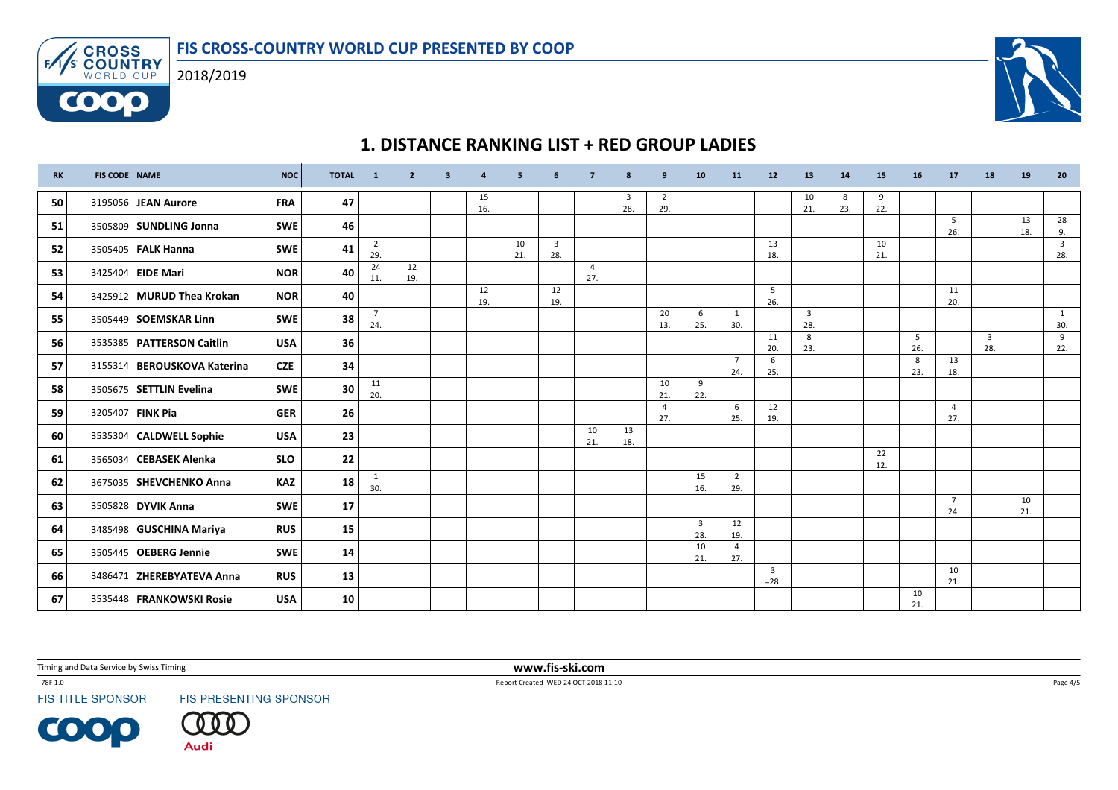

# 1. DISTANCE RANKING LIST + RED GROUP LADIES

| <b>RK</b> | <b>FIS CODE NAME</b> |                               | <b>NOC</b> | <b>TOTAL</b> | $\mathbf{1}$          | $\overline{2}$ | 3 | $\overline{a}$ | 5         | 6                              | -7                    | 8         | 9                     | 10                             | 11                    | 12                       | 13                    | 14        | 15        | 16        | 17                    | 18       | 19        | 20                             |
|-----------|----------------------|-------------------------------|------------|--------------|-----------------------|----------------|---|----------------|-----------|--------------------------------|-----------------------|-----------|-----------------------|--------------------------------|-----------------------|--------------------------|-----------------------|-----------|-----------|-----------|-----------------------|----------|-----------|--------------------------------|
| 50        |                      | 3195056 JEAN Aurore           | <b>FRA</b> | 47           |                       |                |   | 15<br>16.      |           |                                |                       | 3<br>28.  | 2<br>29.              |                                |                       |                          | 10<br>21.             | -8<br>23. | 9<br>22.  |           |                       |          |           |                                |
| 51        |                      | 3505809 SUNDLING Jonna        | <b>SWE</b> | 46           |                       |                |   |                |           |                                |                       |           |                       |                                |                       |                          |                       |           |           |           | 5<br>26.              |          | 13<br>18. | 28<br>9.                       |
| 52        |                      | 3505405   <b>FALK Hanna</b>   | <b>SWE</b> | 41           | $\overline{2}$<br>29. |                |   |                | 10<br>21. | $\overline{\mathbf{3}}$<br>28. |                       |           |                       |                                |                       | 13<br>18.                |                       |           | 10<br>21. |           |                       |          |           | $\overline{\mathbf{3}}$<br>28. |
| 53        |                      | 3425404 EIDE Mari             | <b>NOR</b> | 40           | 24<br>11.             | 12<br>19.      |   |                |           |                                | $\overline{4}$<br>27. |           |                       |                                |                       |                          |                       |           |           |           |                       |          |           |                                |
| 54        |                      | 3425912 MURUD Thea Krokan     | <b>NOR</b> | 40           |                       |                |   | 12<br>19.      |           | 12<br>19.                      |                       |           |                       |                                |                       | 5<br>26.                 |                       |           |           |           | 11<br>20.             |          |           |                                |
| 55        |                      | 3505449   SOEMSKAR Linn       | <b>SWE</b> | 38           | $\overline{7}$<br>24. |                |   |                |           |                                |                       |           | 20<br>13.             | 6<br>25.                       | 1<br>30.              |                          | $\overline{3}$<br>28. |           |           |           |                       |          |           | 1<br>30.                       |
| 56        |                      | 3535385   PATTERSON Caitlin   | <b>USA</b> | 36           |                       |                |   |                |           |                                |                       |           |                       |                                |                       | 11<br>20.                | 8<br>23.              |           |           | 5<br>26.  |                       | 3<br>28. |           | 9<br>22.                       |
| 57        |                      | 3155314   BEROUSKOVA Katerina | <b>CZE</b> | 34           |                       |                |   |                |           |                                |                       |           |                       |                                | $\overline{7}$<br>24. | 6<br>25.                 |                       |           |           | 8<br>23.  | 13<br>18.             |          |           |                                |
| 58        |                      | 3505675   SETTLIN Evelina     | <b>SWE</b> | 30           | 11<br>20.             |                |   |                |           |                                |                       |           | 10<br>21.             | 9<br>22.                       |                       |                          |                       |           |           |           |                       |          |           |                                |
| 59        |                      | 3205407   FINK Pia            | <b>GER</b> | 26           |                       |                |   |                |           |                                |                       |           | $\overline{4}$<br>27. |                                | 6<br>25.              | 12<br>19.                |                       |           |           |           | $\overline{4}$<br>27. |          |           |                                |
| 60        |                      | 3535304   CALDWELL Sophie     | <b>USA</b> | 23           |                       |                |   |                |           |                                | 10<br>21.             | 13<br>18. |                       |                                |                       |                          |                       |           |           |           |                       |          |           |                                |
| 61        |                      | 3565034   CEBASEK Alenka      | <b>SLO</b> | 22           |                       |                |   |                |           |                                |                       |           |                       |                                |                       |                          |                       |           | 22<br>12. |           |                       |          |           |                                |
| 62        |                      | 3675035   SHEVCHENKO Anna     | KAZ        | 18           | 1<br>30.              |                |   |                |           |                                |                       |           |                       | 15<br>16.                      | $\overline{2}$<br>29. |                          |                       |           |           |           |                       |          |           |                                |
| 63        |                      | 3505828 DYVIK Anna            | <b>SWE</b> | 17           |                       |                |   |                |           |                                |                       |           |                       |                                |                       |                          |                       |           |           |           | $\overline{7}$<br>24. |          | 10<br>21. |                                |
| 64        |                      | 3485498   GUSCHINA Mariya     | <b>RUS</b> | 15           |                       |                |   |                |           |                                |                       |           |                       | $\overline{\mathbf{3}}$<br>28. | 12<br>19.             |                          |                       |           |           |           |                       |          |           |                                |
| 65        |                      | 3505445   OEBERG Jennie       | <b>SWE</b> | 14           |                       |                |   |                |           |                                |                       |           |                       | 10<br>21.                      | $\overline{4}$<br>27. |                          |                       |           |           |           |                       |          |           |                                |
| 66        |                      | 3486471   ZHEREBYATEVA Anna   | <b>RUS</b> | 13           |                       |                |   |                |           |                                |                       |           |                       |                                |                       | $\overline{3}$<br>$=28.$ |                       |           |           |           | 10<br>21.             |          |           |                                |
| 67        |                      | 3535448   FRANKOWSKI Rosie    | <b>USA</b> | 10           |                       |                |   |                |           |                                |                       |           |                       |                                |                       |                          |                       |           |           | 10<br>21. |                       |          |           |                                |

Timing and Data Service by Swiss Timing

\_78F 1.0

**FIS TITLE SPONSOR** 

**COOP** 

FIS PRESENTING SPONSOR



 www.fis-ski.comReport Created WED 24 OCT 2018 11:10